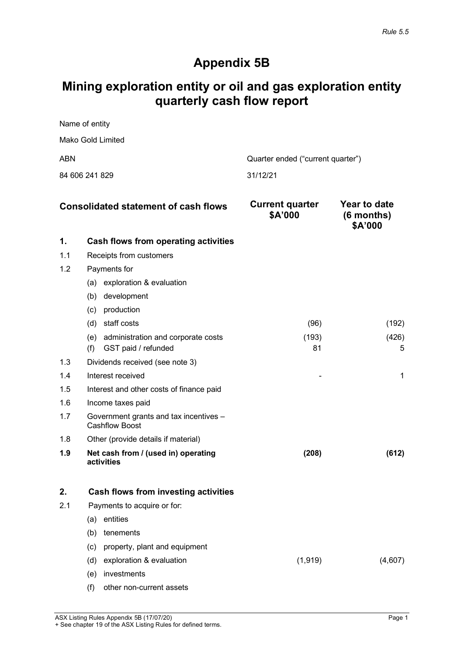# **Appendix 5B**

# **Mining exploration entity or oil and gas exploration entity quarterly cash flow report**

| Name of entity    |                                   |
|-------------------|-----------------------------------|
| Mako Gold Limited |                                   |
| ABN               | Quarter ended ("current quarter") |
|                   |                                   |

84 606 241 829 31/12/21

|     | <b>Consolidated statement of cash flows</b>              | <b>Current quarter</b><br>\$A'000 | Year to date<br>$(6$ months)<br>\$A'000 |
|-----|----------------------------------------------------------|-----------------------------------|-----------------------------------------|
| 1.  | Cash flows from operating activities                     |                                   |                                         |
| 1.1 | Receipts from customers                                  |                                   |                                         |
| 1.2 | Payments for                                             |                                   |                                         |
|     | exploration & evaluation<br>(a)                          |                                   |                                         |
|     | development<br>(b)                                       |                                   |                                         |
|     | production<br>(c)                                        |                                   |                                         |
|     | staff costs<br>(d)                                       | (96)                              | (192)                                   |
|     | (e)<br>administration and corporate costs                | (193)                             | (426)                                   |
|     | (f)<br>GST paid / refunded                               | 81                                | 5                                       |
| 1.3 | Dividends received (see note 3)                          |                                   |                                         |
| 1.4 | Interest received                                        |                                   |                                         |
| 1.5 | Interest and other costs of finance paid                 |                                   |                                         |
| 1.6 | Income taxes paid                                        |                                   |                                         |
| 1.7 | Government grants and tax incentives -<br>Cashflow Boost |                                   |                                         |
| 1.8 | Other (provide details if material)                      |                                   |                                         |
| 1.9 | Net cash from / (used in) operating<br>activities        | (208)                             | (612)                                   |

|     |     | Cash flows from investing activities |          |  |
|-----|-----|--------------------------------------|----------|--|
| 2.1 |     | Payments to acquire or for:          |          |  |
|     | (a) | entities                             |          |  |
|     | (b) | tenements                            |          |  |
|     |     | (c) property, plant and equipment    |          |  |
|     | (d) | exploration & evaluation             | (1, 919) |  |
|     | (e) | investments                          |          |  |
|     | (f) | other non-current assets             |          |  |

ASX Listing Rules Appendix 5B (17/07/20) **Page 1** + See chapter 19 of the ASX Listing Rules for defined terms.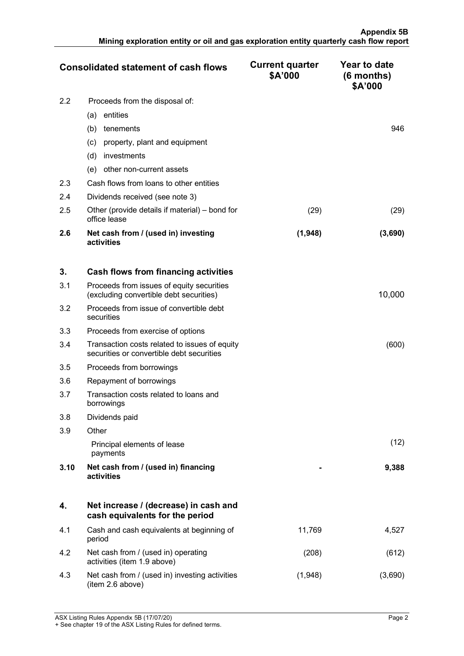|     | <b>Consolidated statement of cash flows</b>                    | <b>Current quarter</b><br>\$A'000 | Year to date<br>$(6$ months)<br>\$A'000 |
|-----|----------------------------------------------------------------|-----------------------------------|-----------------------------------------|
| 2.2 | Proceeds from the disposal of:                                 |                                   |                                         |
|     | entities<br>(a)                                                |                                   |                                         |
|     | (b)<br>tenements                                               |                                   | 946                                     |
|     | property, plant and equipment<br>(C)                           |                                   |                                         |
|     | (d)<br>investments                                             |                                   |                                         |
|     | other non-current assets<br>(e)                                |                                   |                                         |
| 2.3 | Cash flows from loans to other entities                        |                                   |                                         |
| 2.4 | Dividends received (see note 3)                                |                                   |                                         |
| 2.5 | Other (provide details if material) – bond for<br>office lease | (29)                              | (29)                                    |
| 2.6 | Net cash from / (used in) investing<br>activities              | (1,948)                           | (3,690)                                 |

| 3.   | Cash flows from financing activities                                                       |   |        |
|------|--------------------------------------------------------------------------------------------|---|--------|
| 3.1  | Proceeds from issues of equity securities<br>(excluding convertible debt securities)       |   | 10,000 |
| 3.2  | Proceeds from issue of convertible debt<br>securities                                      |   |        |
| 3.3  | Proceeds from exercise of options                                                          |   |        |
| 3.4  | Transaction costs related to issues of equity<br>securities or convertible debt securities |   | (600)  |
| 3.5  | Proceeds from borrowings                                                                   |   |        |
| 3.6  | Repayment of borrowings                                                                    |   |        |
| 3.7  | Transaction costs related to loans and<br>borrowings                                       |   |        |
| 3.8  | Dividends paid                                                                             |   |        |
| 3.9  | Other                                                                                      |   |        |
|      | Principal elements of lease<br>payments                                                    |   | (12)   |
| 3.10 | Net cash from / (used in) financing<br>activities                                          | - | 9,388  |

|     | Net increase / (decrease) in cash and<br>cash equivalents for the period |        |  |
|-----|--------------------------------------------------------------------------|--------|--|
| 4.1 | Cash and cash equivalents at beginning of<br>period                      | 11.769 |  |
| 4.2 | Net cash from / (used in) operating<br>activities (item 1.9 above)       | 208    |  |
| 4.3 | Net cash from / (used in) investing activities<br>(item 2.6 above)       | 1,948  |  |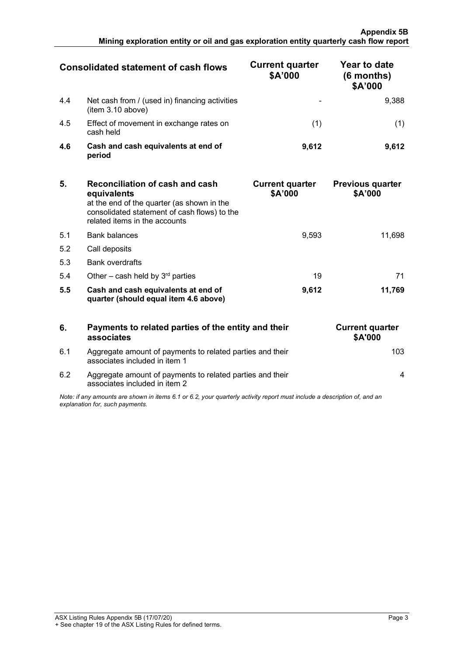|     | <b>Consolidated statement of cash flows</b>                         | <b>Current quarter</b><br>\$A'000 | Year to date<br>$(6$ months)<br>\$A'000 |
|-----|---------------------------------------------------------------------|-----------------------------------|-----------------------------------------|
| 4.4 | Net cash from / (used in) financing activities<br>(item 3.10 above) | -                                 | 9.388                                   |
| 4.5 | Effect of movement in exchange rates on<br>cash held                |                                   |                                         |
| 4.6 | Cash and cash equivalents at end of<br>period                       | 9.612                             | 9612                                    |

| 5.  | <b>Reconciliation of cash and cash</b><br>equivalents<br>at the end of the quarter (as shown in the<br>consolidated statement of cash flows) to the<br>related items in the accounts | <b>Current quarter</b><br>\$A'000 | <b>Previous quarter</b><br>\$A'000 |
|-----|--------------------------------------------------------------------------------------------------------------------------------------------------------------------------------------|-----------------------------------|------------------------------------|
| 5.1 | <b>Bank balances</b>                                                                                                                                                                 | 9.593                             | 11.698                             |
| 5.2 | Call deposits                                                                                                                                                                        |                                   |                                    |
| 5.3 | <b>Bank overdrafts</b>                                                                                                                                                               |                                   |                                    |
| 5.4 | Other – cash held by $3rd$ parties                                                                                                                                                   | 19                                |                                    |
| 5.5 | Cash and cash equivalents at end of<br>quarter (should equal item 4.6 above)                                                                                                         | 9,612                             | 11.769                             |

| 6.                                                                                                                                                          | Payments to related parties of the entity and their<br>associates                          | <b>Current quarter</b><br><b>\$A'000</b> |
|-------------------------------------------------------------------------------------------------------------------------------------------------------------|--------------------------------------------------------------------------------------------|------------------------------------------|
| 6.1                                                                                                                                                         | Aggregate amount of payments to related parties and their<br>associates included in item 1 |                                          |
| 6.2                                                                                                                                                         | Aggregate amount of payments to related parties and their<br>associates included in item 2 |                                          |
| Note: if any amounts are shown in items 6.1 or 6.2, your quarterly activity report must include a description of, and an<br>explanation for, such payments. |                                                                                            |                                          |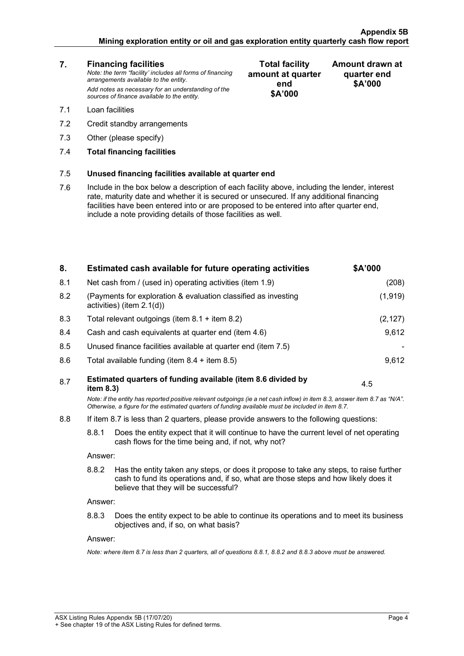### **Appendix 5B Mining exploration entity or oil and gas exploration entity quarterly cash flow report**

| 7.  | <b>Financing facilities</b><br>Note: the term "facility' includes all forms of financing<br>arrangements available to the entity.<br>Add notes as necessary for an understanding of the<br>sources of finance available to the entity.                                                                                                               | <b>Total facility</b><br>amount at quarter<br>end<br>\$A'000 | Amount drawn at<br>quarter end<br>\$A'000 |
|-----|------------------------------------------------------------------------------------------------------------------------------------------------------------------------------------------------------------------------------------------------------------------------------------------------------------------------------------------------------|--------------------------------------------------------------|-------------------------------------------|
| 7.1 | Loan facilities                                                                                                                                                                                                                                                                                                                                      |                                                              |                                           |
| 7.2 | Credit standby arrangements                                                                                                                                                                                                                                                                                                                          |                                                              |                                           |
| 7.3 | Other (please specify)                                                                                                                                                                                                                                                                                                                               |                                                              |                                           |
| 7.4 | <b>Total financing facilities</b>                                                                                                                                                                                                                                                                                                                    |                                                              |                                           |
| 7.5 | Unused financing facilities available at quarter end                                                                                                                                                                                                                                                                                                 |                                                              |                                           |
| 7.6 | Include in the box below a description of each facility above, including the lender, interest<br>rate, maturity date and whether it is secured or unsecured. If any additional financing<br>facilities have been entered into or are proposed to be entered into after quarter end,<br>include a note providing details of those facilities as well. |                                                              |                                           |
|     |                                                                                                                                                                                                                                                                                                                                                      |                                                              |                                           |

| Net cash from / (used in) operating activities (item 1.9)<br>8.1                                                                                        | (208)                                                                                                                                                                         |  |  |
|---------------------------------------------------------------------------------------------------------------------------------------------------------|-------------------------------------------------------------------------------------------------------------------------------------------------------------------------------|--|--|
| 8.2<br>(Payments for exploration & evaluation classified as investing<br>activities) (item 2.1(d))                                                      | (1, 919)                                                                                                                                                                      |  |  |
| 8.3<br>Total relevant outgoings (item $8.1 +$ item $8.2$ )                                                                                              | (2, 127)                                                                                                                                                                      |  |  |
| Cash and cash equivalents at quarter end (item 4.6)<br>8.4                                                                                              | 9,612                                                                                                                                                                         |  |  |
| 8.5<br>Unused finance facilities available at quarter end (item 7.5)                                                                                    |                                                                                                                                                                               |  |  |
| 8.6<br>Total available funding (item $8.4 +$ item $8.5$ )                                                                                               | 9,612                                                                                                                                                                         |  |  |
| Estimated quarters of funding available (item 8.6 divided by<br>8.7<br>item 8.3)                                                                        | 4.5                                                                                                                                                                           |  |  |
| Otherwise, a figure for the estimated quarters of funding available must be included in item 8.7.                                                       | Note: if the entity has reported positive relevant outgoings (ie a net cash inflow) in item 8.3, answer item 8.7 as "N/A".                                                    |  |  |
| 8.8                                                                                                                                                     | If item 8.7 is less than 2 quarters, please provide answers to the following questions:                                                                                       |  |  |
| 8.8.1<br>Does the entity expect that it will continue to have the current level of net operating<br>cash flows for the time being and, if not, why not? |                                                                                                                                                                               |  |  |
| Answer:                                                                                                                                                 |                                                                                                                                                                               |  |  |
| 8.8.2<br>believe that they will be successful?                                                                                                          | Has the entity taken any steps, or does it propose to take any steps, to raise further<br>cash to fund its operations and, if so, what are those steps and how likely does it |  |  |
| Answer:                                                                                                                                                 |                                                                                                                                                                               |  |  |
| 8.8.3<br>Does the entity expect to be able to continue its operations and to meet its business<br>objectives and, if so, on what basis?                 |                                                                                                                                                                               |  |  |
| Answer:                                                                                                                                                 |                                                                                                                                                                               |  |  |
| Note: where item 8.7 is less than 2 quarters, all of questions 8.8.1, 8.8.2 and 8.8.3 above must be answered.                                           |                                                                                                                                                                               |  |  |